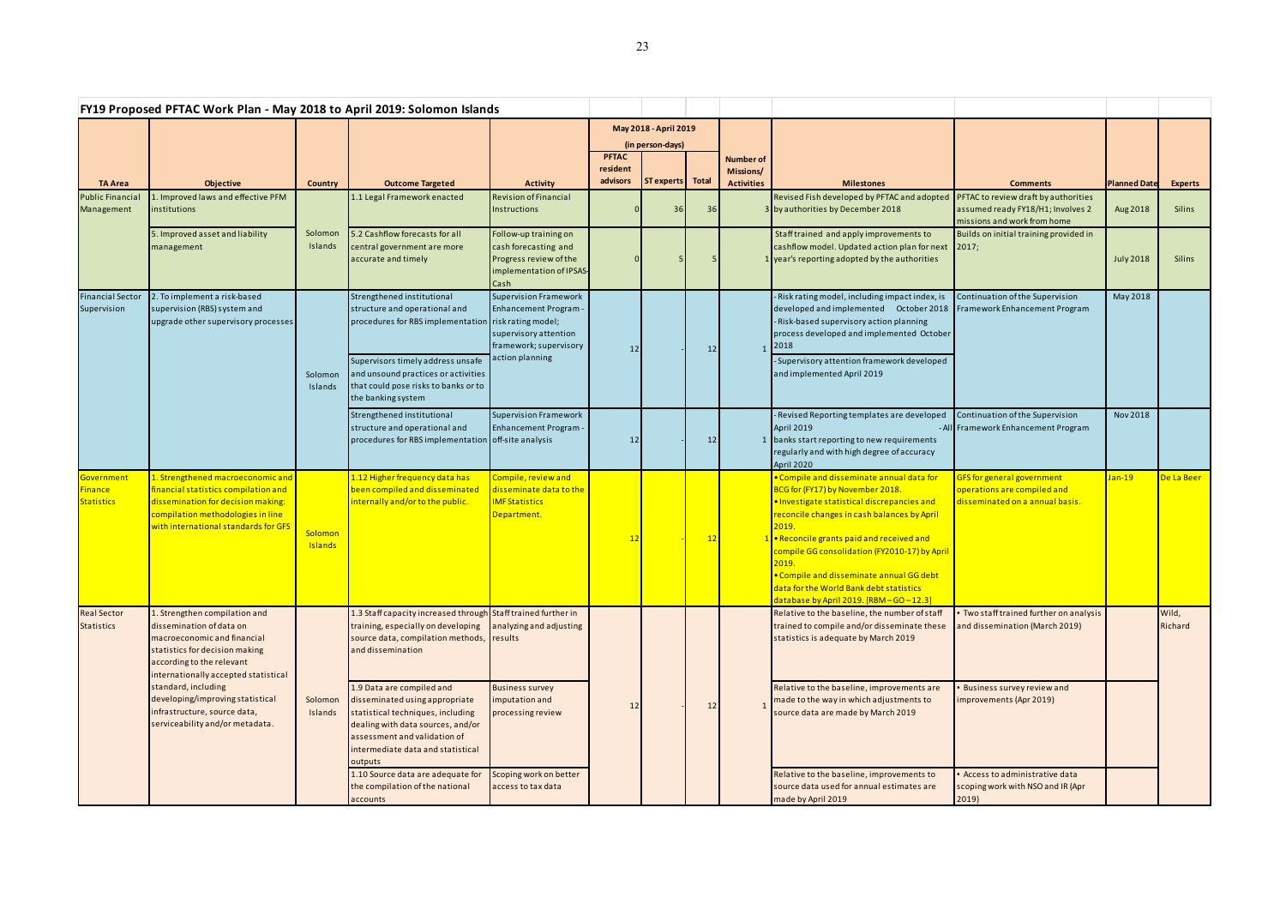| FY19 Proposed PFTAC Work Plan - May 2018 to April 2019: Solomon Islands |                                                                                                                                                                                                                                                                                                                               |                           |                                                                                                                                                                                                                                                                                                                                                                                        |                                                                                                                                  |                                           |            |       |                                                    |                                                                                                                                                                                                                                                                                                                                                                                                                              |                                                                                                                                  |                     |                  |
|-------------------------------------------------------------------------|-------------------------------------------------------------------------------------------------------------------------------------------------------------------------------------------------------------------------------------------------------------------------------------------------------------------------------|---------------------------|----------------------------------------------------------------------------------------------------------------------------------------------------------------------------------------------------------------------------------------------------------------------------------------------------------------------------------------------------------------------------------------|----------------------------------------------------------------------------------------------------------------------------------|-------------------------------------------|------------|-------|----------------------------------------------------|------------------------------------------------------------------------------------------------------------------------------------------------------------------------------------------------------------------------------------------------------------------------------------------------------------------------------------------------------------------------------------------------------------------------------|----------------------------------------------------------------------------------------------------------------------------------|---------------------|------------------|
|                                                                         |                                                                                                                                                                                                                                                                                                                               |                           |                                                                                                                                                                                                                                                                                                                                                                                        |                                                                                                                                  | May 2018 - April 2019<br>(in person-days) |            |       |                                                    |                                                                                                                                                                                                                                                                                                                                                                                                                              |                                                                                                                                  |                     |                  |
| <b>TA Area</b>                                                          | <b>Objective</b>                                                                                                                                                                                                                                                                                                              | Country                   | <b>Outcome Targeted</b>                                                                                                                                                                                                                                                                                                                                                                | <b>Activity</b>                                                                                                                  | <b>PFTAC</b><br>resident<br>advisors      | ST experts | Total | <b>Number of</b><br>Missions/<br><b>Activities</b> | <b>Milestones</b>                                                                                                                                                                                                                                                                                                                                                                                                            | <b>Comments</b>                                                                                                                  | <b>Planned Date</b> | <b>Experts</b>   |
| <b>Public Financia</b><br>Management                                    | Improved laws and effective PFM<br>institutions                                                                                                                                                                                                                                                                               |                           | 1.1 Legal Framework enacted                                                                                                                                                                                                                                                                                                                                                            | <b>Revision of Financial</b><br>Instructions                                                                                     |                                           | 36         | 36    |                                                    | Revised Fish developed by PFTAC and adopted<br>3 by authorities by December 2018                                                                                                                                                                                                                                                                                                                                             | PFTAC to review draft by authorities<br>assumed ready FY18/H1; Involves 2<br>missions and work from home                         | Aug 2018            | Silins           |
|                                                                         | 5. Improved asset and liability<br>management                                                                                                                                                                                                                                                                                 | Solomon<br>Islands        | 5.2 Cashflow forecasts for all<br>central government are more<br>accurate and timely                                                                                                                                                                                                                                                                                                   | Follow-up training on<br>cash forecasting and<br>Progress review of the<br>implementation of IPSAS-<br>Cash                      |                                           |            |       |                                                    | Staff trained and apply improvements to<br>cashflow model. Updated action plan for next 2017;<br>1 year's reporting adopted by the authorities                                                                                                                                                                                                                                                                               | Builds on initial training provided in                                                                                           | <b>July 2018</b>    | Silins           |
| <b>Financial Sector</b><br>Supervision                                  | 2. To implement a risk-based<br>supervision (RBS) system and<br>upgrade other supervisory processes                                                                                                                                                                                                                           | Solomon<br>Islands        | Strengthened institutional<br>structure and operational and<br>procedures for RBS implementation risk rating model;<br>Supervisors timely address unsafe<br>and unsound practices or activities                                                                                                                                                                                        | <b>Supervision Framework</b><br><b>Enhancement Program</b><br>supervisory attention<br>framework; supervisory<br>action planning | 12                                        |            | 12    |                                                    | - Risk rating model, including impact index, is<br>developed and implemented  October 2018  Framework Enhancement Program<br>- Risk-based supervisory action planning<br>process developed and implemented October<br>1 2018<br>- Supervisory attention framework developed<br>and implemented April 2019                                                                                                                    | Continuation of the Supervision                                                                                                  | May 2018            |                  |
|                                                                         |                                                                                                                                                                                                                                                                                                                               |                           | that could pose risks to banks or to<br>the banking system<br>Strengthened institutional<br>structure and operational and<br>procedures for RBS implementation off-site analysis                                                                                                                                                                                                       | <b>Supervision Framework</b><br><b>Enhancement Program</b>                                                                       | 12                                        |            | 12    |                                                    | - Revised Reporting templates are developed<br>April 2019<br>1 banks start reporting to new requirements<br>regularly and with high degree of accuracy<br>April 2020                                                                                                                                                                                                                                                         | Continuation of the Supervision<br>- All Framework Enhancement Program                                                           | Nov 2018            |                  |
| Government<br><b>Finance</b><br><b>Statistics</b>                       | 1. Strengthened macroeconomic and<br>financial statistics compilation and<br>dissemination for decision making:<br>compilation methodologies in line<br>with international standards for GFS                                                                                                                                  | Solomon<br><b>Islands</b> | 1.12 Higher frequency data has<br>been compiled and disseminated<br>internally and/or to the public.                                                                                                                                                                                                                                                                                   | Compile, review and<br>disseminate data to the<br><b>IMF Statistics</b><br>Department.                                           |                                           |            | 12    |                                                    | • Compile and disseminate annual data for<br>BCG for (FY17) by November 2018.<br>. Investigate statistical discrepancies and<br>reconcile changes in cash balances by April<br>2019.<br>1 . Reconcile grants paid and received and<br>compile GG consolidation (FY2010-17) by April<br>2019.<br>• Compile and disseminate annual GG debt<br>data for the World Bank debt statistics<br>database by April 2019. [RBM-GO-12.3] | <b>GFS</b> for general government<br>operations are compiled and<br>disseminated on a annual basis.                              | $Jan-19$            | De La Beer       |
| <b>Real Sector</b><br><b>Statistics</b>                                 | 1. Strengthen compilation and<br>dissemination of data on<br>macroeconomic and financial<br>statistics for decision making<br>according to the relevant<br>internationally accepted statistical<br>standard, including<br>developing/improving statistical<br>infrastructure, source data,<br>serviceability and/or metadata. | Solomon<br>Islands        | 1.3 Staff capacity increased through Staff trained further in<br>training, especially on developing<br>source data, compilation methods,<br>and dissemination<br>1.9 Data are compiled and<br>disseminated using appropriate<br>statistical techniques, including<br>dealing with data sources, and/or<br>assessment and validation of<br>intermediate data and statistical<br>outputs | analyzing and adjusting<br>results<br><b>Business survey</b><br>imputation and<br>processing review                              |                                           |            | 12    |                                                    | Relative to the baseline, the number of staff<br>trained to compile and/or disseminate these<br>statistics is adequate by March 2019<br>Relative to the baseline, improvements are<br>made to the way in which adjustments to<br>source data are made by March 2019                                                                                                                                                          | Two staff trained further on analysis<br>and dissemination (March 2019)<br>Business survey review and<br>improvements (Apr 2019) |                     | Wild,<br>Richard |
|                                                                         |                                                                                                                                                                                                                                                                                                                               |                           | 1.10 Source data are adequate for<br>the compilation of the national<br>accounts                                                                                                                                                                                                                                                                                                       | Scoping work on better<br>access to tax data                                                                                     |                                           |            |       |                                                    | Relative to the baseline, improvements to<br>source data used for annual estimates are<br>made by April 2019                                                                                                                                                                                                                                                                                                                 | Access to administrative data<br>scoping work with NSO and IR (Apr<br>2019)                                                      |                     |                  |